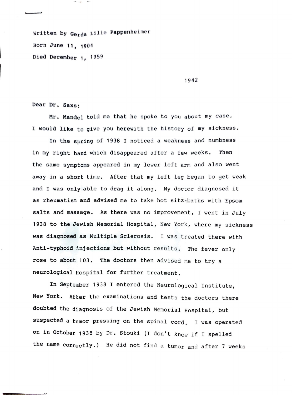Writ ten **by Gerda** Lille Pappenheimer Born June 11, 1904 Died December 1, 1959

1942

Dear Dr. Saxs:

Mr. Mandel told me that he spoke to you about my case. I would like to give you herewith the history of my sickness.

In the spring of 1938 I noticed a weakness and numbness in my right hand which disappeared after a few weeks. Then the same symptoms appeared in my lower left arm and also went away in a short time. After that my left leg began to get weak and I was only able to drag it along. My doctor diagnosed it as rheumatism and advised me to take hot sitz-baths with Epsom salts and massage. As there was no improvement, I went in July 1938 to the Jewish Memorial Hospital, New York, where my sickness was diagnosed as Multiple Sclerosis. I was treated there with Anti-typhoid injections but without results. The fever only rose to about 103. The doctors then advised me to try a neurological Hospital for further treatment.

In September 1938 I entered the Neurological Institute, New York. After the examinations and tests the doctors there doubted the diagnosis of the Jewish Memorial Hospital, but suspected a tumor pressing on the spinal cord. I was operated on in October 1938 by Dr. Stouki (I don't know if I spelled the name correctly.) He did not find a tumor and after 7 weeks